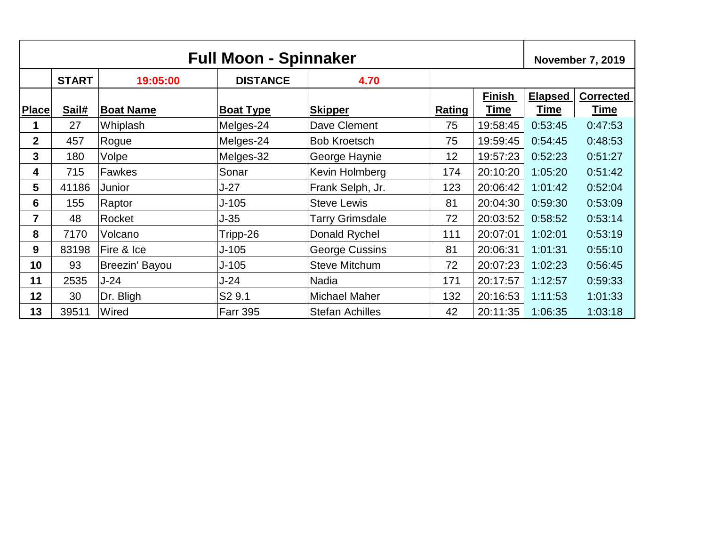| <b>Full Moon - Spinnaker</b> |              |                  |                    |                        | <b>November 7, 2019</b> |                       |                               |                                 |
|------------------------------|--------------|------------------|--------------------|------------------------|-------------------------|-----------------------|-------------------------------|---------------------------------|
|                              | <b>START</b> | 19:05:00         | <b>DISTANCE</b>    | 4.70                   |                         |                       |                               |                                 |
| <b>Place</b>                 | Sail#        | <b>Boat Name</b> | <b>Boat Type</b>   | <b>Skipper</b>         | <b>Rating</b>           | <b>Finish</b><br>Time | <b>Elapsed</b><br><b>Time</b> | <b>Corrected</b><br><b>Time</b> |
|                              | 27           | Whiplash         | Melges-24          | Dave Clement           | 75                      | 19:58:45              | 0:53:45                       | 0:47:53                         |
| $\mathbf{2}$                 | 457          | Rogue            | Melges-24          | <b>Bob Kroetsch</b>    | 75                      | 19:59:45              | 0:54:45                       | 0:48:53                         |
| 3                            | 180          | Volpe            | Melges-32          | George Haynie          | 12                      | 19:57:23              | 0:52:23                       | 0:51:27                         |
| 4                            | 715          | <b>Fawkes</b>    | Sonar              | Kevin Holmberg         | 174                     | 20:10:20              | 1:05:20                       | 0:51:42                         |
| 5                            | 41186        | Junior           | $J-27$             | Frank Selph, Jr.       | 123                     | 20:06:42              | 1:01:42                       | 0:52:04                         |
| $6\phantom{1}$               | 155          | Raptor           | $J - 105$          | <b>Steve Lewis</b>     | 81                      | 20:04:30              | 0:59:30                       | 0:53:09                         |
| 7                            | 48           | Rocket           | $J-35$             | <b>Tarry Grimsdale</b> | 72                      | 20:03:52              | 0:58:52                       | 0:53:14                         |
| 8                            | 7170         | Volcano          | Tripp-26           | Donald Rychel          | 111                     | 20:07:01              | 1:02:01                       | 0:53:19                         |
| 9                            | 83198        | Fire & Ice       | $J - 105$          | <b>George Cussins</b>  | 81                      | 20:06:31              | 1:01:31                       | 0:55:10                         |
| 10                           | 93           | Breezin' Bayou   | $J-105$            | <b>Steve Mitchum</b>   | 72                      | 20:07:23              | 1:02:23                       | 0:56:45                         |
| 11                           | 2535         | $J-24$           | $J-24$             | <b>Nadia</b>           | 171                     | 20:17:57              | 1:12:57                       | 0:59:33                         |
| 12                           | 30           | Dr. Bligh        | S <sub>2</sub> 9.1 | <b>Michael Maher</b>   | 132                     | 20:16:53              | 1:11:53                       | 1:01:33                         |
| 13                           | 39511        | Wired            | <b>Farr 395</b>    | <b>Stefan Achilles</b> | 42                      | 20:11:35              | 1:06:35                       | 1:03:18                         |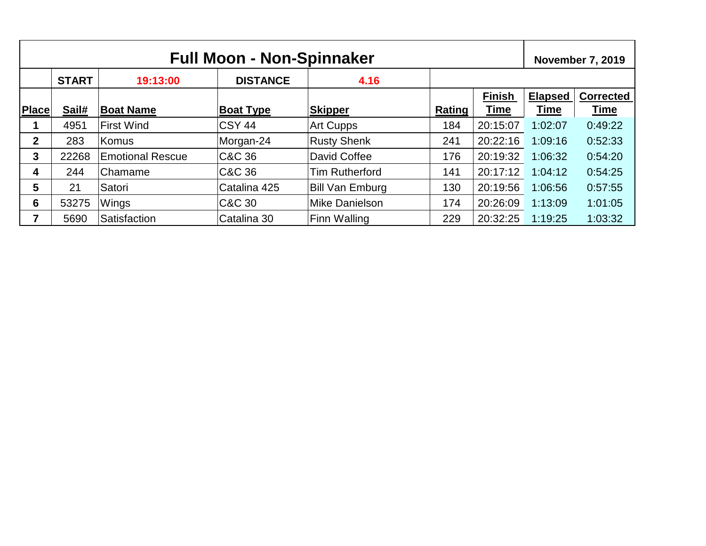| <b>Full Moon - Non-Spinnaker</b> |              |                         |                  |                        |        | <b>November 7, 2019</b> |                |                  |
|----------------------------------|--------------|-------------------------|------------------|------------------------|--------|-------------------------|----------------|------------------|
|                                  | <b>START</b> | 19:13:00                | <b>DISTANCE</b>  | 4.16                   |        |                         |                |                  |
|                                  |              |                         |                  |                        |        | <b>Finish</b>           | <b>Elapsed</b> | <b>Corrected</b> |
| <b>Place</b>                     | Sail#        | <b>Boat Name</b>        | <b>Boat Type</b> | <b>Skipper</b>         | Rating | <b>Time</b>             | <b>Time</b>    | <u>Time</u>      |
|                                  | 4951         | <b>First Wind</b>       | <b>CSY 44</b>    | <b>Art Cupps</b>       | 184    | 20:15:07                | 1:02:07        | 0:49:22          |
| $\mathbf 2$                      | 283          | Komus                   | Morgan-24        | <b>Rusty Shenk</b>     | 241    | 20:22:16                | 1:09:16        | 0:52:33          |
| 3                                | 22268        | <b>Emotional Rescue</b> | C&C 36           | David Coffee           | 176    | 20:19:32                | 1:06:32        | 0:54:20          |
| 4                                | 244          | ∣Chamame                | C&C 36           | <b>Tim Rutherford</b>  | 141    | 20:17:12                | 1:04:12        | 0:54:25          |
| 5                                | 21           | Satori                  | Catalina 425     | <b>Bill Van Emburg</b> | 130    | 20:19:56                | 1:06:56        | 0:57:55          |
| 6                                | 53275        | Wings                   | C&C 30           | Mike Danielson         | 174    | 20:26:09                | 1:13:09        | 1:01:05          |
| 7                                | 5690         | Satisfaction            | ICatalina 30     | Finn Walling           | 229    | 20:32:25                | 1:19:25        | 1:03:32          |